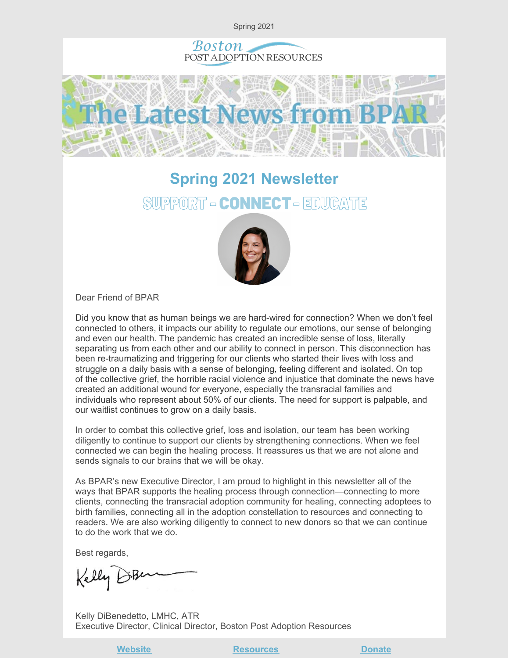

# **Spring 2021 Newsletter** SUPPORT - CONNECT - EDUCATE



Dear Friend of BPAR

Did you know that as human beings we are hard-wired for connection? When we don't feel connected to others, it impacts our ability to regulate our emotions, our sense of belonging and even our health. The pandemic has created an incredible sense of loss, literally separating us from each other and our ability to connect in person. This disconnection has been re-traumatizing and triggering for our clients who started their lives with loss and struggle on a daily basis with a sense of belonging, feeling different and isolated. On top of the collective grief, the horrible racial violence and injustice that dominate the news have created an additional wound for everyone, especially the transracial families and individuals who represent about 50% of our clients. The need for support is palpable, and our waitlist continues to grow on a daily basis.

In order to combat this collective grief, loss and isolation, our team has been working diligently to continue to support our clients by strengthening connections. When we feel connected we can begin the healing process. It reassures us that we are not alone and sends signals to our brains that we will be okay.

As BPAR's new Executive Director, I am proud to highlight in this newsletter all of the ways that BPAR supports the healing process through connection—connecting to more clients, connecting the transracial adoption community for healing, connecting adoptees to birth families, connecting all in the adoption constellation to resources and connecting to readers. We are also working diligently to connect to new donors so that we can continue to do the work that we do.

Best regards,

Kelly BiBe

Kelly DiBenedetto, LMHC, ATR Executive Director, Clinical Director, Boston Post Adoption Resources

**Website Construction [Resources](https://bpar.org/post-adoption-resources-center/) Construction [Donate](https://bpar.org/our-vision/)**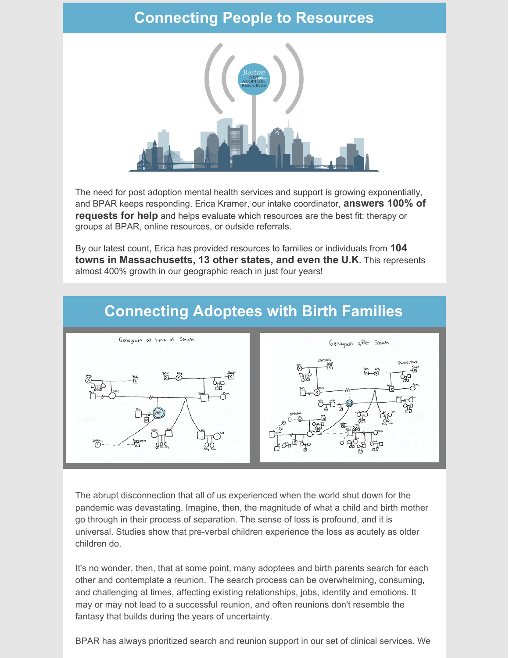### **Connecting People to Resources**



The need for post adoption mental health services and support is growing exponentially, and BPAR keeps responding. Erica Kramer, our intake coordinator, **answers 100% of requests for help** and helps evaluate which resources are the best fit: therapy or groups at BPAR, online resources, or outside referrals.

By our latest count, Erica has provided resources to families or individuals from **104 towns in Massachusetts, 13 other states, and even the U.K**. This represents almost 400% growth in our geographic reach in just four years!



#### **Connecting Adoptees with Birth Families**

The abrupt disconnection that all of us experienced when the world shut down for the pandemic was devastating. Imagine, then, the magnitude of what a child and birth mother go through in their process of separation. The sense of loss is profound, and it is universal. Studies show that pre-verbal children experience the loss as acutely as older children do.

It's no wonder, then, that at some point, many adoptees and birth parents search for each other and contemplate a reunion. The search process can be overwhelming, consuming, and challenging at times, affecting existing relationships, jobs, identity and emotions. It may or may not lead to a successful reunion, and often reunions don't resemble the fantasy that builds during the years of uncertainty.

BPAR has always prioritized search and reunion support in our set of clinical services. We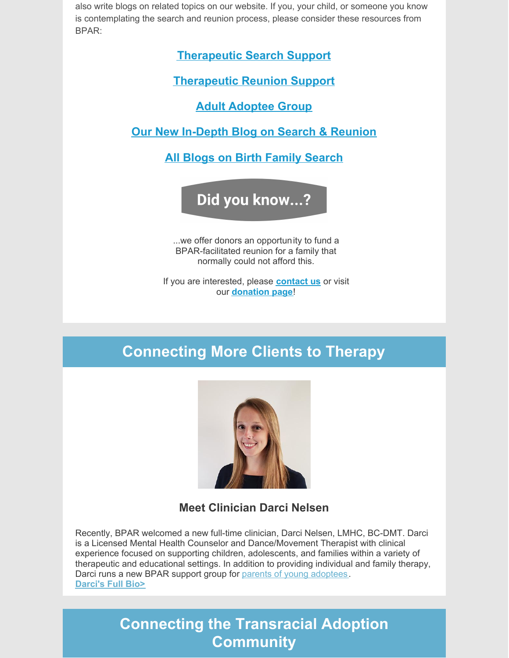also write blogs on related topics on our website. If you, your child, or someone you know is contemplating the search and reunion process, please consider these resources from BPAR:

**[Therapeutic](https://bpar.org/search-support-birth-family/) Search Support**

**[Therapeutic](https://bpar.org/reunions/) Reunion Support**

**Adult [Adoptee](https://bpar.org/group-therapy/) Group**

**Our New [In-Depth](https://bpar.org/search-and-reunion-voices-in-the-lifelong-journey-of-adoption/) Blog on Search & Reunion**

**All Blogs on Birth Family [Search](https://bpar.org/category/birth-family-search/)**

Did you know...?

...we offer donors an opportunity to fund a BPAR-facilitated reunion for a family that normally could not afford this.

If you are interested, please **[contact](mailto:erica@bpar.org) us** or visit our **[donation](https://bpar.org/our-vision/) page**!

# **Connecting More Clients to Therapy**



**Meet Clinician Darci Nelsen**

Recently, BPAR welcomed a new full-time clinician, Darci Nelsen, LMHC, BC-DMT. Darci is a Licensed Mental Health Counselor and Dance/Movement Therapist with clinical experience focused on supporting children, adolescents, and families within a variety of therapeutic and educational settings. In addition to providing individual and family therapy, Darci runs a new BPAR support group for parents of young [adoptees](https://bpar.org/group-therapy/). **[Darci's](https://bpar.org/about-boston-post-adoption-resources/bpar-team/) Full Bio>**

### **Connecting the Transracial Adoption Community**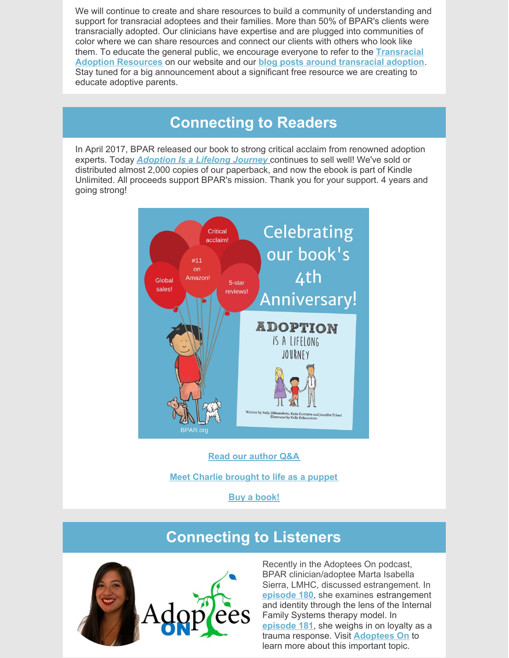We will continue to create and share resources to build a community of understanding and support for transracial adoptees and their families. More than 50% of BPAR's clients were transracially adopted. Our clinicians have expertise and are plugged into communities of color where we can share resources and connect our clients with others who look like them. To educate the general public, we encourage everyone to refer to the **[Transracial](https://bpar.org/transracial-adoption-resources-on-anti-racism-social-justice/) Adoption Resources** on our website and our **blog posts around [transracial](https://bpar.org/category/transracial-adoption/) adoption**. Stay tuned for a big announcement about a significant free resource we are creating to educate adoptive parents.

#### **Connecting to Readers**

In April 2017, BPAR released our book to strong critical acclaim from renowned adoption experts. Today *[Adoption](https://bpar.org/adoption-is-a-lifelong-journey-book/) Is a Lifelong Journey* continues to sell well! We've sold or distributed almost 2,000 copies of our paperback, and now the ebook is part of Kindle Unlimited. All proceeds support BPAR's mission. Thank you for your support. 4 years and going strong!



#### **Read our [author](https://bpar.org/authors/) Q&A**

**Meet Charlie [brought](https://www.youtube.com/watch?v=jZpci3L_51o) to life as a puppet**

**Buy a [book!](https://bpar.org/adoption-is-a-lifelong-journey-book/)**

### **Connecting to Listeners**



Recently in the Adoptees On podcast, BPAR clinician/adoptee Marta Isabella Sierra, LMHC, discussed estrangement. In **[episode](http://www.adopteeson.com/listen/180) 180**, she examines estrangement and identity through the lens of the Internal Family Systems therapy model. In **[episode](http://www.adopteeson.com/listen/181) 181**, she weighs in on loyalty as a trauma response. Visit **[Adoptees](http://www.adopteeson.com/) On** to learn more about this important topic.